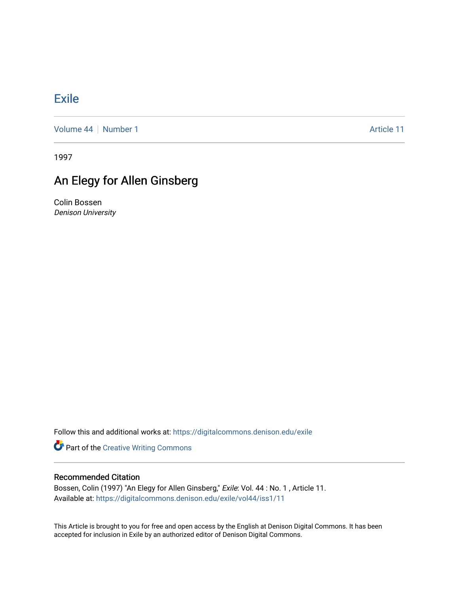## [Exile](https://digitalcommons.denison.edu/exile)

[Volume 44](https://digitalcommons.denison.edu/exile/vol44) | [Number 1](https://digitalcommons.denison.edu/exile/vol44/iss1) Article 11

1997

## An Elegy for Allen Ginsberg

Colin Bossen Denison University

Follow this and additional works at: [https://digitalcommons.denison.edu/exile](https://digitalcommons.denison.edu/exile?utm_source=digitalcommons.denison.edu%2Fexile%2Fvol44%2Fiss1%2F11&utm_medium=PDF&utm_campaign=PDFCoverPages) 

**Part of the Creative Writing Commons** 

## Recommended Citation

Bossen, Colin (1997) "An Elegy for Allen Ginsberg," Exile: Vol. 44 : No. 1 , Article 11. Available at: [https://digitalcommons.denison.edu/exile/vol44/iss1/11](https://digitalcommons.denison.edu/exile/vol44/iss1/11?utm_source=digitalcommons.denison.edu%2Fexile%2Fvol44%2Fiss1%2F11&utm_medium=PDF&utm_campaign=PDFCoverPages)

This Article is brought to you for free and open access by the English at Denison Digital Commons. It has been accepted for inclusion in Exile by an authorized editor of Denison Digital Commons.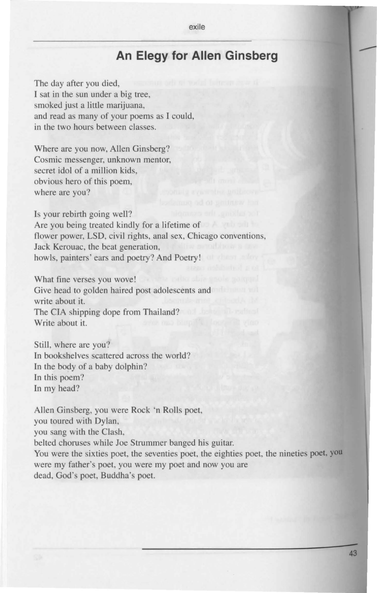## **An Elegy for Allen Ginsberg**

The day after you died, l sat in the sun under a big tree, smoked just a little marijuana, and read as many of your poems as I could, in the two hours between classes.

Where are you now, Allen Ginsberg? Cosmic messenger, unknown mentor, secret idol of a million kids, obvious hero of this poem, where are you?

Is your rebirth going well? Are you being treated kindly for a lifetime of flower power, LSD, civil rights, anal sex, Chicago conventions, Jack Kerouac, the beat generation, howls, painters' ears and poetry? And Poetry!

What fine verses you wove! Give head to golden haired post adolescents and write about it. The CIA shipping dope from Thailand? Write about it.

Still, where are you? In bookshelves scattered across the world? In the body of a baby dolphin? In this poem? In my head?

Allen Ginsberg, you were Rock 'n Rolls poet, you toured with Dylan, you sang with the Clash, belted choruses while Joe Strummer banged his guitar. You were the sixties poet, the seventies poet, the eighties poet, the nineties poet, you were my father's poet, you were my poet and now you are dead, God's poet, Buddha's poet.